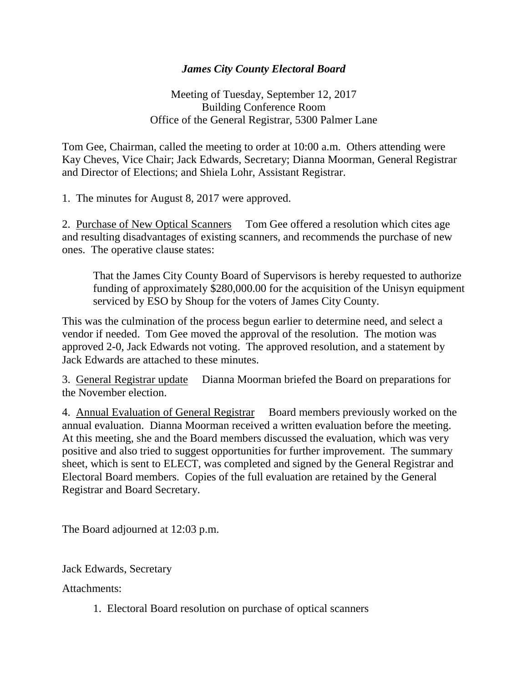## *James City County Electoral Board*

Meeting of Tuesday, September 12, 2017 Building Conference Room Office of the General Registrar, 5300 Palmer Lane

Tom Gee, Chairman, called the meeting to order at 10:00 a.m. Others attending were Kay Cheves, Vice Chair; Jack Edwards, Secretary; Dianna Moorman, General Registrar and Director of Elections; and Shiela Lohr, Assistant Registrar.

1. The minutes for August 8, 2017 were approved.

2. Purchase of New Optical Scanners Tom Gee offered a resolution which cites age and resulting disadvantages of existing scanners, and recommends the purchase of new ones. The operative clause states:

That the James City County Board of Supervisors is hereby requested to authorize funding of approximately \$280,000.00 for the acquisition of the Unisyn equipment serviced by ESO by Shoup for the voters of James City County.

This was the culmination of the process begun earlier to determine need, and select a vendor if needed. Tom Gee moved the approval of the resolution. The motion was approved 2-0, Jack Edwards not voting. The approved resolution, and a statement by Jack Edwards are attached to these minutes.

3. General Registrar update Dianna Moorman briefed the Board on preparations for the November election.

4. Annual Evaluation of General Registrar Board members previously worked on the annual evaluation. Dianna Moorman received a written evaluation before the meeting. At this meeting, she and the Board members discussed the evaluation, which was very positive and also tried to suggest opportunities for further improvement. The summary sheet, which is sent to ELECT, was completed and signed by the General Registrar and Electoral Board members. Copies of the full evaluation are retained by the General Registrar and Board Secretary.

The Board adjourned at 12:03 p.m.

Jack Edwards, Secretary

Attachments:

1. Electoral Board resolution on purchase of optical scanners